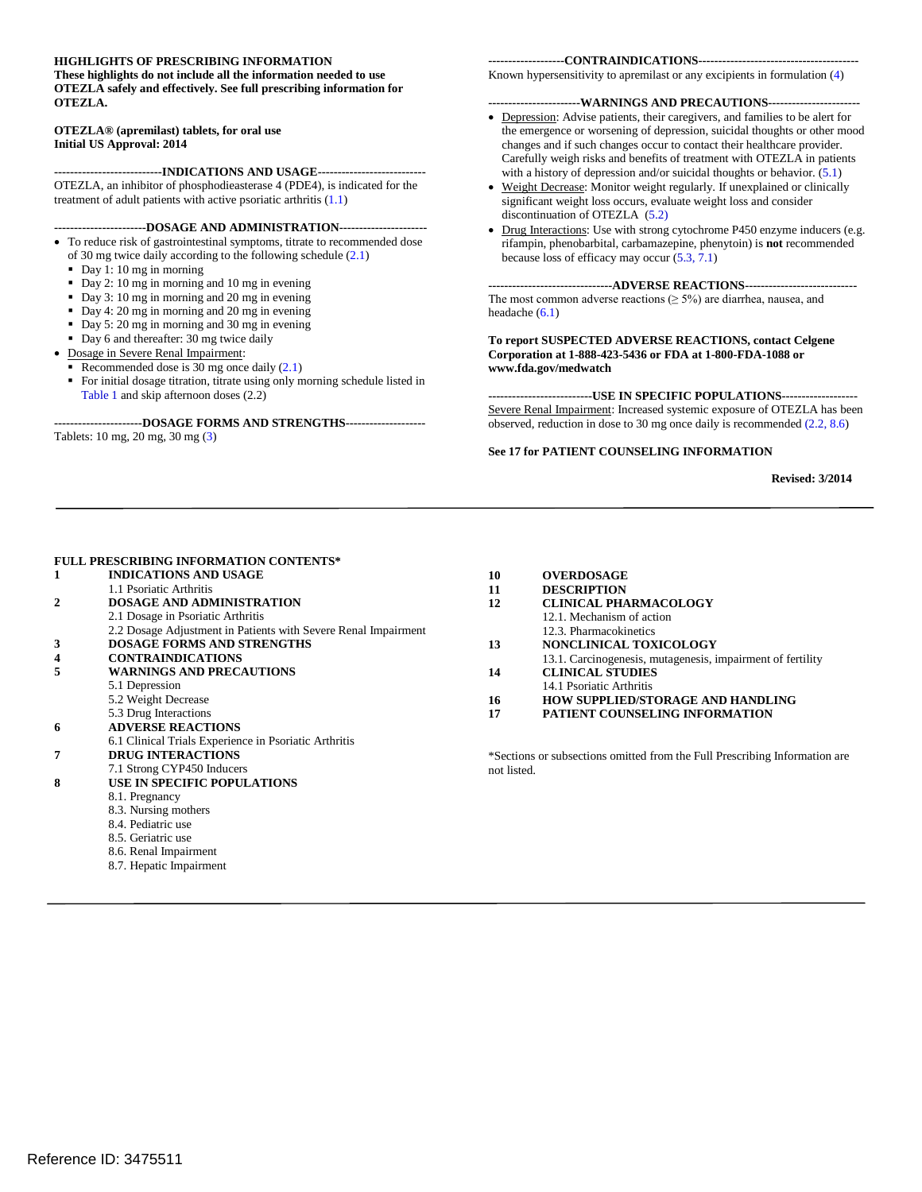#### **HIGHLIGHTS OF PRESCRIBING INFORMATION**

 **OTEZLA safely and effectively. See full prescribing information for These highlights do not include all the information needed to use OTEZLA.** 

#### **OTEZLA® (apremilast) tablets, for oral use Initial US Approval: 2014**

 OTEZLA, an inhibitor of phosphodieasterase 4 (PDE4), is indicated for the **---------------------------INDICATIONS AND USAGE-------------------------** treatment of adult patients with active psoriatic arthritis (1.1)

#### **-----------------------DOSAGE AND ADMINISTRATION---------------------**

- To reduce risk of gastrointestinal symptoms, titrate to recommended dose
- of 30 mg twice daily according to the following schedule (2.1)
- Day 1: 10 mg in morning
- Day 2: 10 mg in morning and 10 mg in evening
- Day 3: 10 mg in morning and 20 mg in evening
- Day 4: 20 mg in morning and 20 mg in evening
- Day 5: 20 mg in morning and 30 mg in evening
- Day 6 and thereafter: 30 mg twice daily
- • Dosage in Severe Renal Impairment:
- Recommended dose is 30 mg once daily  $(2.1)$
- Table 1 and skip afternoon doses (2.2) For initial dosage titration, titrate using only morning schedule listed in

#### **----------------------DOSAGE FORMS AND STRENGTHS-------------------**

Tablets: 10 mg, 20 mg, 30 mg (3)

#### **-------------------CONTRAINDICATIONS---------------------------------------**

Known hypersensitivity to apremilast or any excipients in formulation (4)

#### **-----------------------WARNINGS AND PRECAUTIONS----------------------**

- Depression: Advise patients, their caregivers, and families to be alert for changes and if such changes occur to contact their healthcare provider. Carefully weigh risks and benefits of treatment with OTEZLA in patients the emergence or worsening of depression, suicidal thoughts or other mood with a history of depression and/or suicidal thoughts or behavior. (5.1)
- Weight Decrease: Monitor weight regularly. If unexplained or clinically significant weight loss occurs, evaluate weight loss and consider discontinuation of OTEZLA (5.2)
- because loss of efficacy may occur (5.3, 7.1) Drug Interactions: Use with strong cytochrome P450 enzyme inducers (e.g. rifampin, phenobarbital, carbamazepine, phenytoin) is **not** recommended

#### **-------------------------------ADVERSE REACTIONS---------------------------**

The most common adverse reactions ( $\geq$  5%) are diarrhea, nausea, and headache (6.1)

**To report SUSPECTED ADVERSE REACTIONS, contact Celgene Corporation at 1-888-423-5436 or FDA at 1-800-FDA-1088 or www.fda.gov/medwatch** 

 Severe Renal Impairment: Increased systemic exposure of OTEZLA has been **--------------------------USE IN SPECIFIC POPULATIONS-----------------** observed, reduction in dose to 30 mg once daily is recommended (2.2, 8.6)

#### **See 17 for PATIENT COUNSELING INFORMATION**

#### **Revised: 3/2014**

#### **FULL PRESCRIBING INFORMATION CONTENTS\***

- 2.2 Dosage Adjustment in Patients with Severe Renal Impairment **1 INDICATIONS AND USAGE**  1.1 Psoriatic Arthritis **2 DOSAGE AND ADMINISTRATION**  2.1 Dosage in Psoriatic Arthritis **3 DOSAGE FORMS AND STRENGTHS 4 CONTRAINDICATIONS 5 WARNINGS AND PRECAUTIONS** 
	- 5.1 Depression
		- 5.2 Weight Decrease
	- 5.3 Drug Interactions
- **6 ADVERSE REACTIONS**
- 6.1 Clinical Trials Experience in Psoriatic Arthritis
- **7 DRUG INTERACTIONS**
- 7.1 Strong CYP450 Inducers

#### **8 USE IN SPECIFIC POPULATIONS**

- 8.1. Pregnancy
	- 8.3. Nursing mothers
	- 8.4. Pediatric use
	- 8.5. Geriatric use
	- 8.6. Renal Impairment
	- 8.7. Hepatic Impairment

#### **10 OVERDOSAGE 11 DESCRIPTION 12 CLINICAL PHARMACOLOGY**  12.1. Mechanism of action 12.3. Pharmacokinetics **13 NONCLINICAL TOXICOLOGY**  13.1. Carcinogenesis, mutagenesis, impairment of fertility **14 CLINICAL STUDIES**  14.1 Psoriatic Arthritis **16 HOW SUPPLIED/STORAGE AND HANDLING 17 PATIENT COUNSELING INFORMATION**

\*Sections or subsections omitted from the Full Prescribing Information are not listed.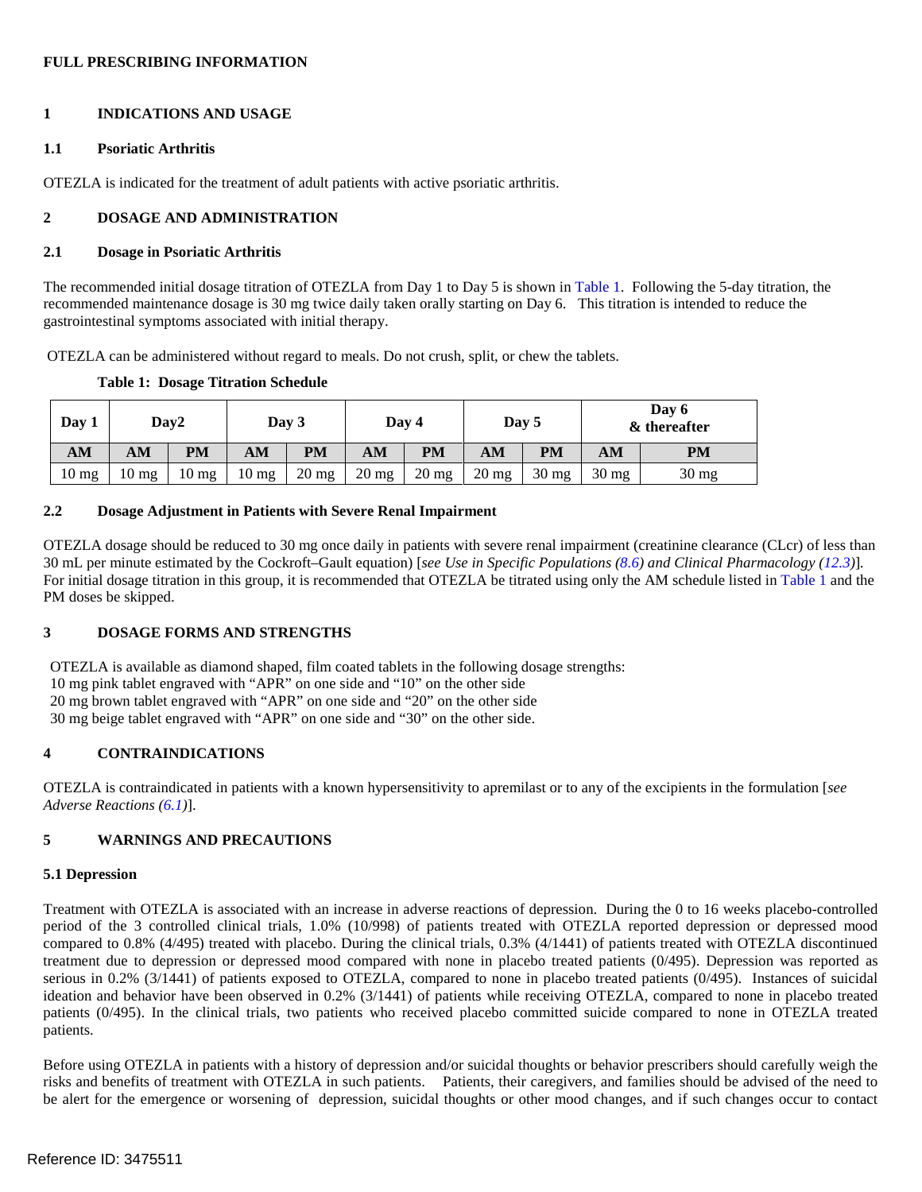### **FULL PRESCRIBING INFORMATION**

#### **1 INDICATIONS AND USAGE**

#### **1.1 Psoriatic Arthritis**

OTEZLA is indicated for the treatment of adult patients with active psoriatic arthritis.

#### **2 DOSAGE AND ADMINISTRATION**

#### **2.1 Dosage in Psoriatic Arthritis**

 The recommended initial dosage titration of OTEZLA from Day 1 to Day 5 is shown in Table 1. Following the 5-day titration, the recommended maintenance dosage is 30 mg twice daily taken orally starting on Day 6. This titration is intended to reduce the gastrointestinal symptoms associated with initial therapy.

OTEZLA can be administered without regard to meals. Do not crush, split, or chew the tablets.

|  | <b>Table 1: Dosage Titration Schedule</b> |
|--|-------------------------------------------|
|  |                                           |

| Day 1           |          | Day2             |                 | Day 3   |                 | Day 4   |                 | Day 5     |                 | Day 6<br>& thereafter |
|-----------------|----------|------------------|-----------------|---------|-----------------|---------|-----------------|-----------|-----------------|-----------------------|
| AM              | AM       | <b>PM</b>        | AM              | PM      | AM              | PM      | AM              | <b>PM</b> | AM              | PM                    |
| $10 \text{ mg}$ | 10<br>mg | 10 <sub>mg</sub> | $10 \text{ mg}$ | $20$ mg | $20 \text{ mg}$ | $20$ mg | $20 \text{ mg}$ | $30$ mg   | $30 \text{ mg}$ | $30 \text{ mg}$       |

#### **2.2 Dosage Adjustment in Patients with Severe Renal Impairment**

 OTEZLA dosage should be reduced to 30 mg once daily in patients with severe renal impairment (creatinine clearance (CLcr) of less than 30 mL per minute estimated by the Cockroft–Gault equation) [*see Use in Specific Populations (8.6) and Clinical Pharmacology (12.3)*]*.*  For initial dosage titration in this group, it is recommended that OTEZLA be titrated using only the AM schedule listed in Table 1 and the PM doses be skipped.

## **3 DOSAGE FORMS AND STRENGTHS**

 OTEZLA is available as diamond shaped, film coated tablets in the following dosage strengths: 30 mg beige tablet engraved with "APR" on one side and "30" on the other side. 10 mg pink tablet engraved with "APR" on one side and "10" on the other side 20 mg brown tablet engraved with "APR" on one side and "20" on the other side

## **4 CONTRAINDICATIONS**

OTEZLA is contraindicated in patients with a known hypersensitivity to apremilast or to any of the excipients in the formulation [*see Adverse Reactions (6.1)*].

# **5 WARNINGS AND PRECAUTIONS**

#### **5.1 Depression**

 Treatment with OTEZLA is associated with an increase in adverse reactions of depression. During the 0 to 16 weeks placebo-controlled treatment due to depression or depressed mood compared with none in placebo treated patients (0/495). Depression was reported as serious in 0.2% (3/1441) of patients exposed to OTEZLA, compared to none in placebo treated patients (0/495). Instances of suicidal period of the 3 controlled clinical trials, 1.0% (10/998) of patients treated with OTEZLA reported depression or depressed mood compared to 0.8% (4/495) treated with placebo. During the clinical trials, 0.3% (4/1441) of patients treated with OTEZLA discontinued ideation and behavior have been observed in 0.2% (3/1441) of patients while receiving OTEZLA, compared to none in placebo treated patients (0/495). In the clinical trials, two patients who received placebo committed suicide compared to none in OTEZLA treated patients.

 risks and benefits of treatment with OTEZLA in such patients. Patients, their caregivers, and families should be advised of the need to Before using OTEZLA in patients with a history of depression and/or suicidal thoughts or behavior prescribers should carefully weigh the be alert for the emergence or worsening of depression, suicidal thoughts or other mood changes, and if such changes occur to contact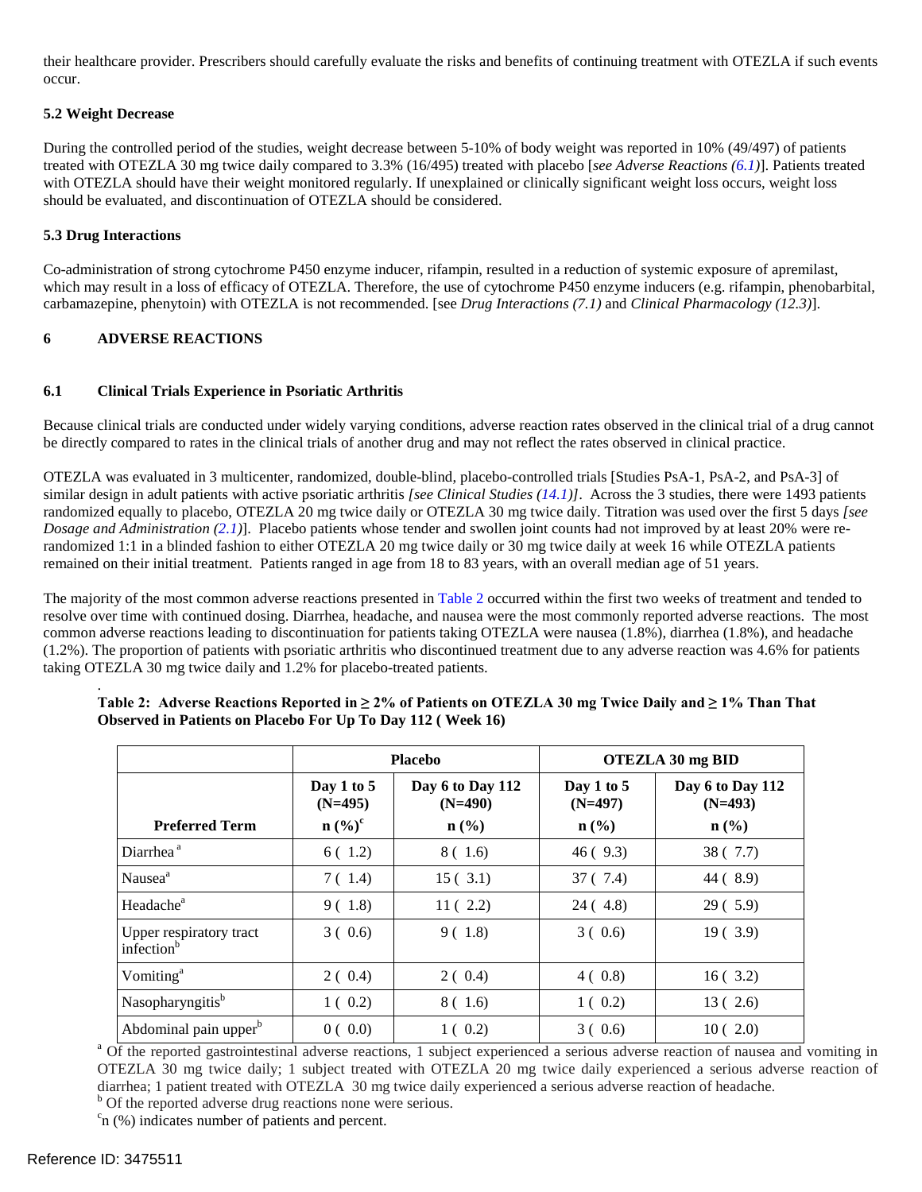their healthcare provider. Prescribers should carefully evaluate the risks and benefits of continuing treatment with OTEZLA if such events occur.

# **5.2 Weight Decrease**

 During the controlled period of the studies, weight decrease between 5-10% of body weight was reported in 10% (49/497) of patients with OTEZLA should have their weight monitored regularly. If unexplained or clinically significant weight loss occurs, weight loss treated with OTEZLA 30 mg twice daily compared to 3.3% (16/495) treated with placebo [*see Adverse Reactions (6.1)*]. Patients treated should be evaluated, and discontinuation of OTEZLA should be considered.

# **5.3 Drug Interactions**

 carbamazepine, phenytoin) with OTEZLA is not recommended. [see *Drug Interactions (7.1)* and *Clinical Pharmacology (12.3)*]. Co-administration of strong cytochrome P450 enzyme inducer, rifampin, resulted in a reduction of systemic exposure of apremilast, which may result in a loss of efficacy of OTEZLA. Therefore, the use of cytochrome P450 enzyme inducers (e.g. rifampin, phenobarbital,

# **6 ADVERSE REACTIONS**

## **6.1 Clinical Trials Experience in Psoriatic Arthritis**

 Because clinical trials are conducted under widely varying conditions, adverse reaction rates observed in the clinical trial of a drug cannot be directly compared to rates in the clinical trials of another drug and may not reflect the rates observed in clinical practice.

 similar design in adult patients with active psoriatic arthritis *[see Clinical Studies (14.1)]*. Across the 3 studies, there were 1493 patients *Dosage and Administration (2.1)*]. Placebo patients whose tender and swollen joint counts had not improved by at least 20% were re- remained on their initial treatment. Patients ranged in age from 18 to 83 years, with an overall median age of 51 years. OTEZLA was evaluated in 3 multicenter, randomized, double-blind, placebo-controlled trials [Studies PsA-1, PsA-2, and PsA-3] of randomized equally to placebo, OTEZLA 20 mg twice daily or OTEZLA 30 mg twice daily. Titration was used over the first 5 days *[see*  randomized 1:1 in a blinded fashion to either OTEZLA 20 mg twice daily or 30 mg twice daily at week 16 while OTEZLA patients

 resolve over time with continued dosing. Diarrhea, headache, and nausea were the most commonly reported adverse reactions. The most The majority of the most common adverse reactions presented in Table 2 occurred within the first two weeks of treatment and tended to common adverse reactions leading to discontinuation for patients taking OTEZLA were nausea (1.8%), diarrhea (1.8%), and headache (1.2%). The proportion of patients with psoriatic arthritis who discontinued treatment due to any adverse reaction was 4.6% for patients taking OTEZLA 30 mg twice daily and 1.2% for placebo-treated patients.

|                                                   |                                                            | <b>Placebo</b>                                               | OTEZLA 30 mg BID                                       |                                                              |  |
|---------------------------------------------------|------------------------------------------------------------|--------------------------------------------------------------|--------------------------------------------------------|--------------------------------------------------------------|--|
| <b>Preferred Term</b>                             | Day 1 to $5$<br>$(N=495)$<br>$n\left(\frac{0}{0}\right)^c$ | Day 6 to Day 112<br>$(N=490)$<br>$n\left(\frac{0}{0}\right)$ | Day 1 to 5<br>$(N=497)$<br>$n\left(\frac{0}{0}\right)$ | Day 6 to Day 112<br>$(N=493)$<br>$n\left(\frac{0}{0}\right)$ |  |
| Diarrhea <sup>a</sup>                             | 6(1.2)                                                     | 8 ( 1.6)                                                     | 46(9.3)                                                | 38(7.7)                                                      |  |
| Nausea <sup>a</sup>                               | 7 (1.4)                                                    | 15(3.1)                                                      | 37 ( 7.4)                                              | 44 (8.9)                                                     |  |
| Headache <sup>a</sup>                             | 9(1.8)                                                     | 11(2.2)                                                      | 24 (4.8)                                               | 29(5.9)                                                      |  |
| Upper respiratory tract<br>infection <sup>b</sup> | 3(0.6)                                                     | 9(1.8)                                                       | 3(0.6)                                                 | 19(3.9)                                                      |  |
| Vomiting <sup>a</sup>                             | 2(0.4)                                                     | 2(0.4)                                                       | 4(0.8)                                                 | 16(3.2)                                                      |  |
| Nasopharyngitis <sup>b</sup>                      | 1(0.2)                                                     | 8(1.6)                                                       | 1(0.2)                                                 | 13(2.6)                                                      |  |
| Abdominal pain upper <sup>b</sup>                 | 0(0.0)                                                     | 1(0.2)                                                       | 3(0.6)                                                 | 10(2.0)                                                      |  |

#### **Table 2: Adverse Reactions Reported in ≥ 2% of Patients on OTEZLA 30 mg Twice Daily and ≥ 1% Than That Observed in Patients on Placebo For Up To Day 112 ( Week 16)**

<sup>a</sup> Of the reported gastrointestinal adverse reactions, 1 subject experienced a serious adverse reaction of nausea and vomiting in OTEZLA 30 mg twice daily; 1 subject treated with OTEZLA 20 mg twice daily experienced a serious adverse reaction of diarrhea; 1 patient treated with OTEZLA 30 mg twice daily experienced a serious adverse reaction of headache.<br><sup>b</sup> Of the reported adverse drug reactions none were serious. <sup>b</sup> Of the reported adverse drug reactions none were serious.

n (%) indicates number of patients and percent.

.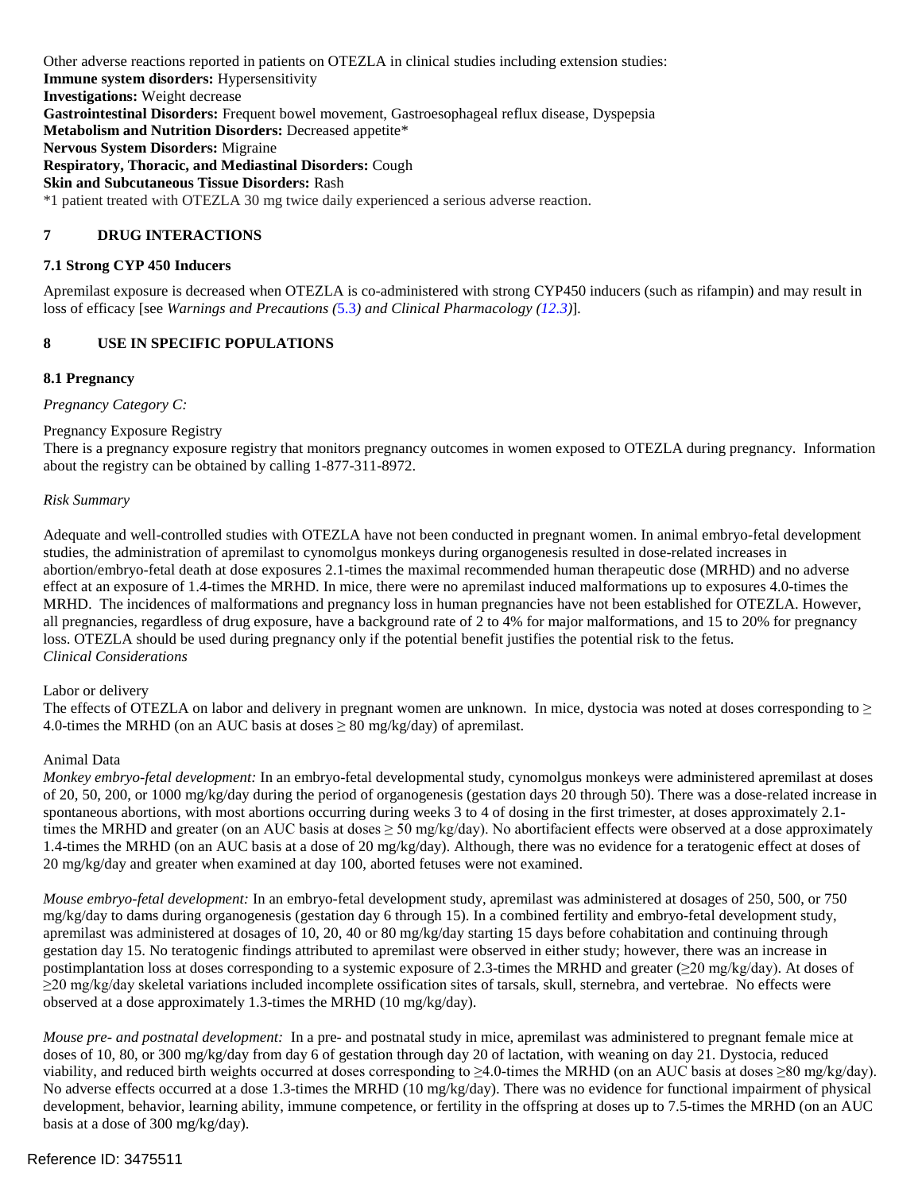**Immune system disorders:** Hypersensitivity **Respiratory, Thoracic, and Mediastinal Disorders:** Cough \*1 patient treated with OTEZLA 30 mg twice daily experienced a serious adverse reaction. Other adverse reactions reported in patients on OTEZLA in clinical studies including extension studies: **Investigations:** Weight decrease **Gastrointestinal Disorders:** Frequent bowel movement, Gastroesophageal reflux disease, Dyspepsia **Metabolism and Nutrition Disorders:** Decreased appetite\* **Nervous System Disorders:** Migraine **Skin and Subcutaneous Tissue Disorders:** Rash

# **7 DRUG INTERACTIONS**

# **7.1 Strong CYP 450 Inducers**

Apremilast exposure is decreased when OTEZLA is co-administered with strong CYP450 inducers (such as rifampin) and may result in loss of efficacy [see *Warnings and Precautions (*5.3*) and Clinical Pharmacology (12.3)*]*.* 

# **8 USE IN SPECIFIC POPULATIONS**

## **8.1 Pregnancy**

*Pregnancy Category C:* 

# Pregnancy Exposure Registry

There is a pregnancy exposure registry that monitors pregnancy outcomes in women exposed to OTEZLA during pregnancy. Information about the registry can be obtained by calling 1-877-311-8972.

#### *Risk Summary*

 Adequate and well-controlled studies with OTEZLA have not been conducted in pregnant women. In animal embryo-fetal development effect at an exposure of 1.4-times the MRHD. In mice, there were no apremilast induced malformations up to exposures 4.0-times the MRHD. The incidences of malformations and pregnancy loss in human pregnancies have not been established for OTEZLA. However, all pregnancies, regardless of drug exposure, have a background rate of 2 to 4% for major malformations, and 15 to 20% for pregnancy loss. OTEZLA should be used during pregnancy only if the potential benefit justifies the potential risk to the fetus. studies, the administration of apremilast to cynomolgus monkeys during organogenesis resulted in dose-related increases in abortion/embryo-fetal death at dose exposures 2.1-times the maximal recommended human therapeutic dose (MRHD) and no adverse *Clinical Considerations* 

#### Labor or delivery

The effects of OTEZLA on labor and delivery in pregnant women are unknown. In mice, dystocia was noted at doses corresponding to  $\geq$ 4.0-times the MRHD (on an AUC basis at doses  $\geq 80$  mg/kg/day) of apremilast.

# Animal Data

 *Monkey embryo-fetal development:* In an embryo-fetal developmental study, cynomolgus monkeys were administered apremilast at doses spontaneous abortions, with most abortions occurring during weeks 3 to 4 of dosing in the first trimester, at doses approximately 2.1 1.4-times the MRHD (on an AUC basis at a dose of 20 mg/kg/day). Although, there was no evidence for a teratogenic effect at doses of 20 mg/kg/day and greater when examined at day 100, aborted fetuses were not examined. of 20, 50, 200, or 1000 mg/kg/day during the period of organogenesis (gestation days 20 through 50). There was a dose-related increase in times the MRHD and greater (on an AUC basis at doses  $\geq$  50 mg/kg/day). No abortifacient effects were observed at a dose approximately

 *Mouse embryo-fetal development:* In an embryo-fetal development study, apremilast was administered at dosages of 250, 500, or 750 ≥20 mg/kg/day skeletal variations included incomplete ossification sites of tarsals, skull, sternebra, and vertebrae. No effects were mg/kg/day to dams during organogenesis (gestation day 6 through 15). In a combined fertility and embryo-fetal development study, apremilast was administered at dosages of 10, 20, 40 or 80 mg/kg/day starting 15 days before cohabitation and continuing through gestation day 15. No teratogenic findings attributed to apremilast were observed in either study; however, there was an increase in postimplantation loss at doses corresponding to a systemic exposure of 2.3-times the MRHD and greater  $(\geq 20 \text{ mg/kg/day})$ . At doses of observed at a dose approximately 1.3-times the MRHD (10 mg/kg/day).

 *Mouse pre- and postnatal development:* In a pre- and postnatal study in mice, apremilast was administered to pregnant female mice at doses of 10, 80, or 300 mg/kg/day from day 6 of gestation through day 20 of lactation, with weaning on day 21. Dystocia, reduced viability, and reduced birth weights occurred at doses corresponding to  $\geq 4.0$ -times the MRHD (on an AUC basis at doses  $\geq 80$  mg/kg/day). development, behavior, learning ability, immune competence, or fertility in the offspring at doses up to 7.5-times the MRHD (on an AUC No adverse effects occurred at a dose 1.3-times the MRHD (10 mg/kg/day). There was no evidence for functional impairment of physical basis at a dose of 300 mg/kg/day).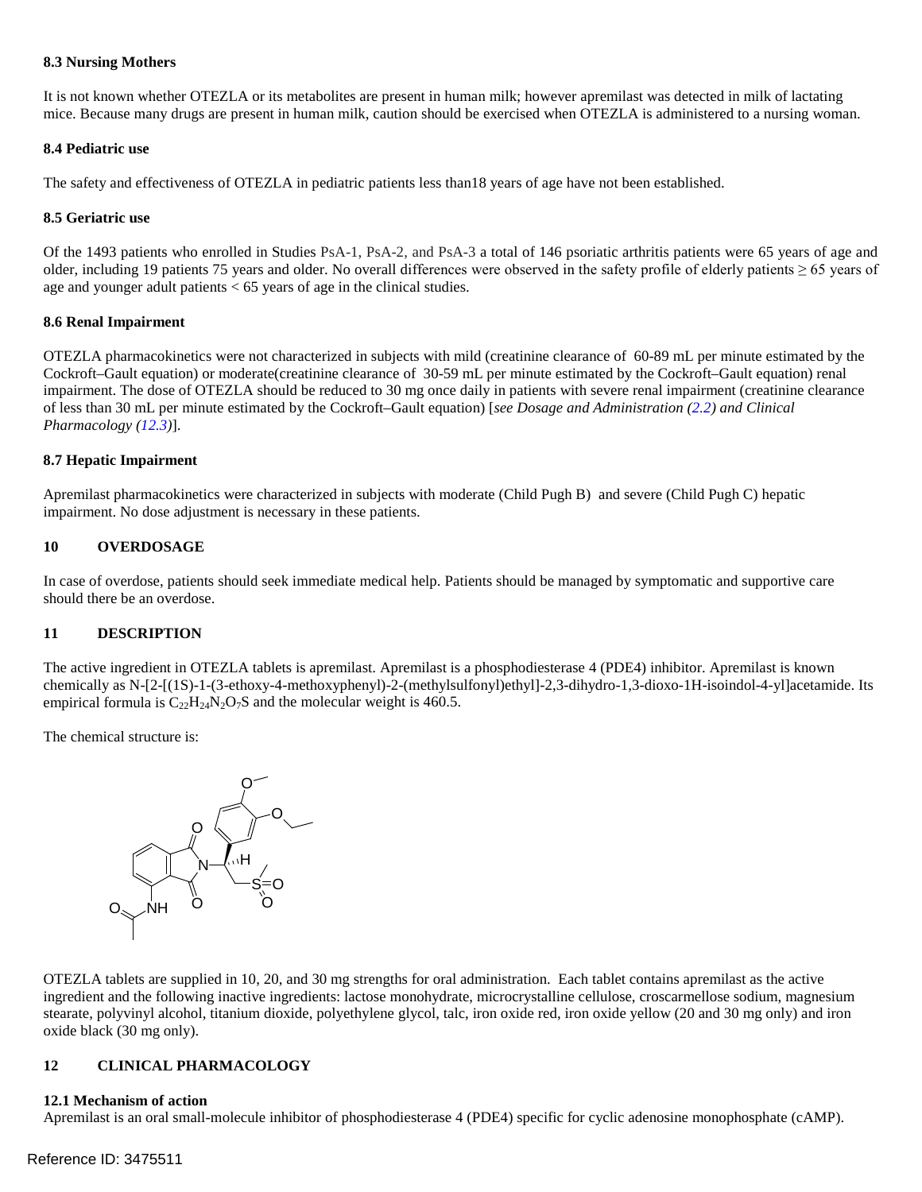#### **8.3 Nursing Mothers**

 mice. Because many drugs are present in human milk, caution should be exercised when OTEZLA is administered to a nursing woman. It is not known whether OTEZLA or its metabolites are present in human milk; however apremilast was detected in milk of lactating

#### **8.4 Pediatric use**

The safety and effectiveness of OTEZLA in pediatric patients less than18 years of age have not been established.

#### **8.5 Geriatric use**

older, including 19 patients 75 years and older. No overall differences were observed in the safety profile of elderly patients  $\geq 65$  years of age and younger adult patients < 65 years of age in the clinical studies. Of the 1493 patients who enrolled in Studies PsA-1, PsA-2, and PsA-3 a total of 146 psoriatic arthritis patients were 65 years of age and

#### **8.6 Renal Impairment**

 *Pharmacology (12.3)*]. OTEZLA pharmacokinetics were not characterized in subjects with mild (creatinine clearance of 60-89 mL per minute estimated by the Cockroft–Gault equation) or moderate(creatinine clearance of 30-59 mL per minute estimated by the Cockroft–Gault equation) renal impairment. The dose of OTEZLA should be reduced to 30 mg once daily in patients with severe renal impairment (creatinine clearance of less than 30 mL per minute estimated by the Cockroft–Gault equation) [*see Dosage and Administration (2.2) and Clinical* 

## **8.7 Hepatic Impairment**

 Apremilast pharmacokinetics were characterized in subjects with moderate (Child Pugh B) and severe (Child Pugh C) hepatic impairment. No dose adjustment is necessary in these patients.

## **10 OVERDOSAGE**

In case of overdose, patients should seek immediate medical help. Patients should be managed by symptomatic and supportive care should there be an overdose.

# **11 DESCRIPTION**

empirical formula is  $C_{22}H_{24}N_2O_7S$  and the molecular weight is 460.5. The active ingredient in OTEZLA tablets is apremilast. Apremilast is a phosphodiesterase 4 (PDE4) inhibitor. Apremilast is known chemically as N-[2-[(1S)-1-(3-ethoxy-4-methoxyphenyl)-2-(methylsulfonyl)ethyl]-2,3-dihydro-1,3-dioxo-1H-isoindol-4-yl]acetamide. Its

The chemical structure is:



OTEZLA tablets are supplied in 10, 20, and 30 mg strengths for oral administration. Each tablet contains apremilast as the active ingredient and the following inactive ingredients: lactose monohydrate, microcrystalline cellulose, croscarmellose sodium, magnesium stearate, polyvinyl alcohol, titanium dioxide, polyethylene glycol, talc, iron oxide red, iron oxide yellow (20 and 30 mg only) and iron oxide black (30 mg only).

#### **CLINICAL PHARMACOLOGY 12**

## **12.1 Mechanism of action**

Apremilast is an oral small-molecule inhibitor of phosphodiesterase 4 (PDE4) specific for cyclic adenosine monophosphate (cAMP).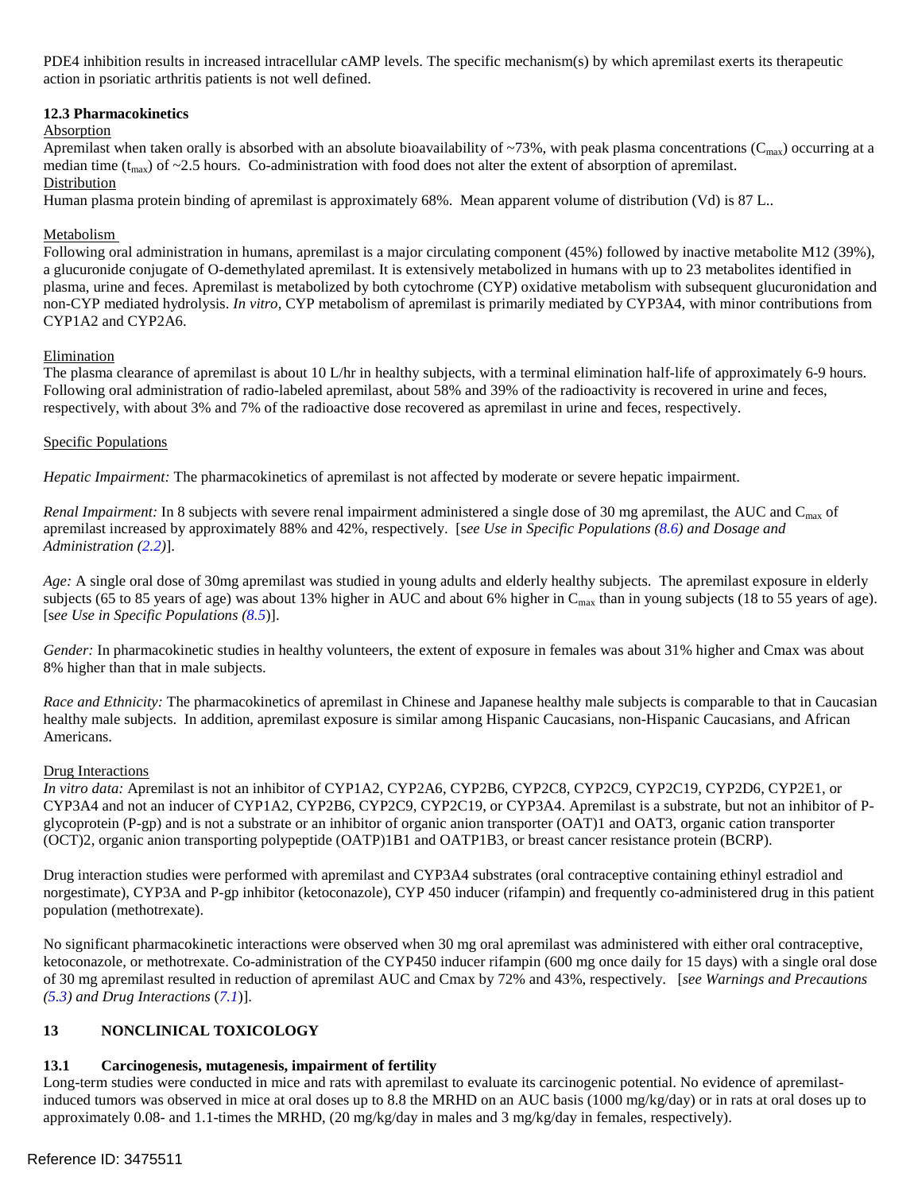PDE4 inhibition results in increased intracellular cAMP levels. The specific mechanism(s) by which apremilast exerts its therapeutic action in psoriatic arthritis patients is not well defined.

## **12.3 Pharmacokinetics**

# Absorption

Apremilast when taken orally is absorbed with an absolute bioavailability of ~73%, with peak plasma concentrations ( $C_{\text{max}}$ ) occurring at a median time  $(t_{max})$  of ~2.5 hours. Co-administration with food does not alter the extent of absorption of apremilast.

# Distribution

Human plasma protein binding of apremilast is approximately 68%. Mean apparent volume of distribution (Vd) is 87 L..<br><u>Metabolism</u>

 a glucuronide conjugate of O-demethylated apremilast. It is extensively metabolized in humans with up to 23 metabolites identified in plasma, urine and feces. Apremilast is metabolized by both cytochrome (CYP) oxidative metabolism with subsequent glucuronidation and non-CYP mediated hydrolysis. *In vitro,* CYP metabolism of apremilast is primarily mediated by CYP3A4, with minor contributions from CYP1A2 and CYP2A6.<br>Elimination Following oral administration in humans, apremilast is a major circulating component (45%) followed by inactive metabolite M12 (39%),

 The plasma clearance of apremilast is about 10 L/hr in healthy subjects, with a terminal elimination half-life of approximately 6-9 hours. Following oral administration of radio-labeled apremilast, about 58% and 39% of the radioactivity is recovered in urine and feces, respectively, with about 3% and 7% of the radioactive dose recovered as apremilast in urine and feces, respectively.

# Specific Populations

*Hepatic Impairment:* The pharmacokinetics of apremilast is not affected by moderate or severe hepatic impairment.

*Renal Impairment:* In 8 subjects with severe renal impairment administered a single dose of 30 mg apremilast, the AUC and C<sub>max</sub> of apremilast increased by approximately 88% and 42%, respectively. [s*ee Use in Specific Populations (8.6) and Dosage and Administration (2.2)*].

subjects (65 to 85 years of age) was about 13% higher in AUC and about 6% higher in C<sub>max</sub> than in young subjects (18 to 55 years of age).<br>[see Use in Specific Populations (8.5)]. *Age:* A single oral dose of 30mg apremilast was studied in young adults and elderly healthy subjects. The apremilast exposure in elderly

 8% higher than that in male subjects. *Gender:* In pharmacokinetic studies in healthy volunteers, the extent of exposure in females was about 31% higher and Cmax was about

 *Race and Ethnicity:* The pharmacokinetics of apremilast in Chinese and Japanese healthy male subjects is comparable to that in Caucasian Americans. healthy male subjects. In addition, apremilast exposure is similar among Hispanic Caucasians, non-Hispanic Caucasians, and African

## Drug Interactions.

 *In vitro data:* Apremilast is not an inhibitor of CYP1A2, CYP2A6, CYP2B6, CYP2C8, CYP2C9, CYP2C19, CYP2D6, CYP2E1, or CYP3A4 and not an inducer of CYP1A2, CYP2B6, CYP2C9, CYP2C19, or CYP3A4. Apremilast is a substrate, but not an inhibitor of Pglycoprotein (P-gp) and is not a substrate or an inhibitor of organic anion transporter (OAT)1 and OAT3, organic cation transporter (OCT)2, organic anion transporting polypeptide (OATP)1B1 and OATP1B3, or breast cancer resistance protein (BCRP).

 Drug interaction studies were performed with apremilast and CYP3A4 substrates (oral contraceptive containing ethinyl estradiol and norgestimate), CYP3A and P-gp inhibitor (ketoconazole), CYP 450 inducer (rifampin) and frequently co-administered drug in this patient population (methotrexate).

 ketoconazole, or methotrexate. Co-administration of the CYP450 inducer rifampin (600 mg once daily for 15 days) with a single oral dose No significant pharmacokinetic interactions were observed when 30 mg oral apremilast was administered with either oral contraceptive, of 30 mg apremilast resulted in reduction of apremilast AUC and Cmax by 72% and 43%, respectively. [*see Warnings and Precautions (5.3) and Drug Interactions* (*7.1*)].

#### $13$ **13 NONCLINICAL TOXICOLOGY**

#### $13.1$ **13.1 Carcinogenesis, mutagenesis, impairment of fertility**

 Long-term studies were conducted in mice and rats with apremilast to evaluate its carcinogenic potential. No evidence of apremilast- approximately 0.08- and 1.1-times the MRHD, (20 mg/kg/day in males and 3 mg/kg/day in females, respectively). induced tumors was observed in mice at oral doses up to 8.8 the MRHD on an AUC basis (1000 mg/kg/day) or in rats at oral doses up to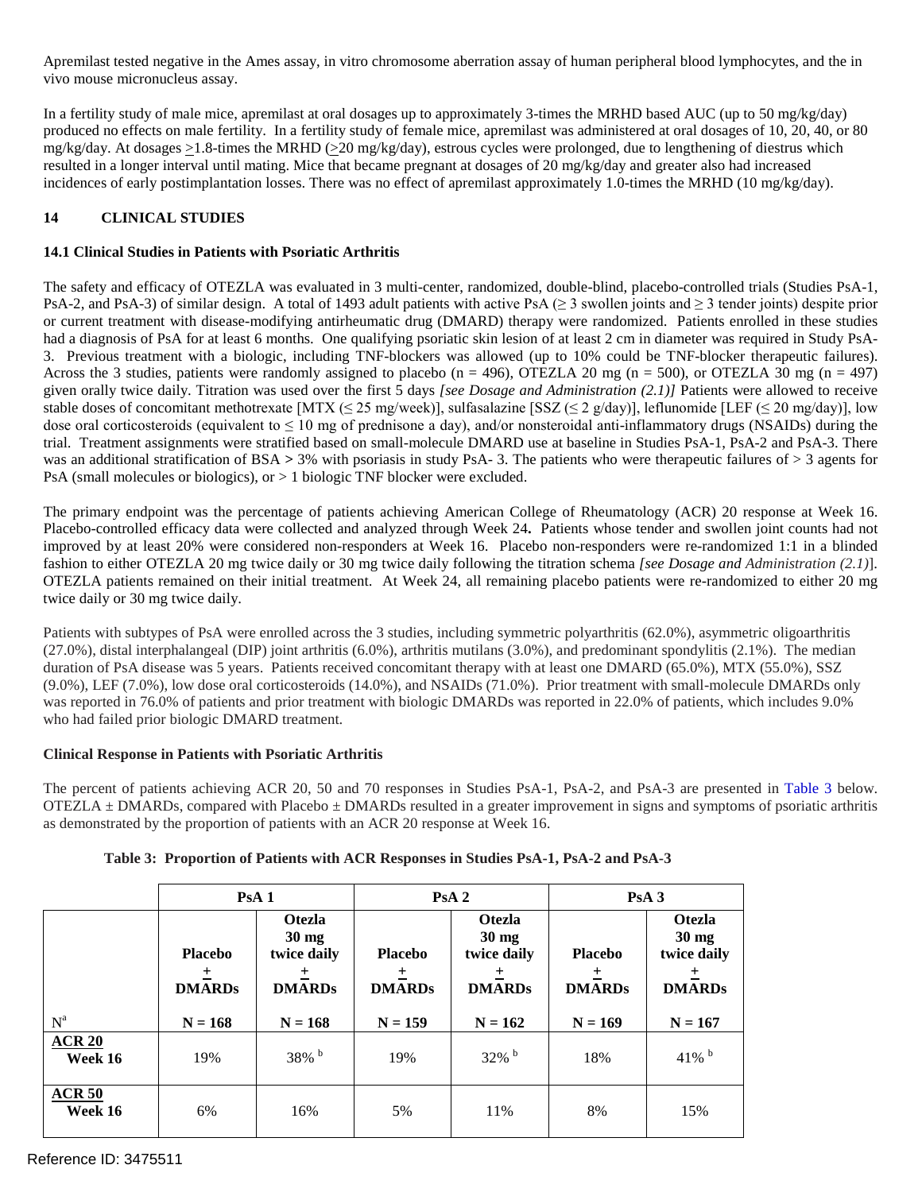vivo mouse micronucleus assay.

 In a fertility study of male mice, apremilast at oral dosages up to approximately 3-times the MRHD based AUC (up to 50 mg/kg/day) mg/kg/day. At dosages >1.8-times the MRHD (>20 mg/kg/day), estrous cycles were prolonged, due to lengthening of diestrus which resulted in a longer interval until mating. Mice that became pregnant at dosages of 20 mg/kg/day and greater also had increased Apremilast tested negative in the Ames assay, in vitro chromosome aberration assay of human peripheral blood lymphocytes, and the in vivo mouse micronucleus assay.<br>
In a fertility study of male mice, apremilast at oral dos produced no effects on male fertility. In a fertility study of female mice, apremilast was administered at oral dosages of 10, 20, 40, or 80 incidences of early postimplantation losses. There was no effect of apremilast approximately 1.0-times the MRHD (10 mg/kg/day).

#### **14 CLINICAL STUDIES**

# **14.1 Clinical Studies in Patients with Psoriatic Arthritis**

PsA-2, and PsA-3) of similar design. A total of 1493 adult patients with active PsA ( $\geq$  3 swollen joints and  $\geq$  3 tender joints) despite prior or current treatment with disease-modifying antirheumatic drug (DMARD) therapy were randomized. Patients enrolled in these studies had a diagnosis of PsA for at least 6 months. One qualifying psoriatic skin lesion of at least 2 cm in diameter was required in Study PsA- 3. Previous treatment with a biologic, including TNF-blockers was allowed (up to 10% could be TNF-blocker therapeutic failures). given orally twice daily. Titration was used over the first 5 days *[see Dosage and Administration (2.1)]* Patients were allowed to receive stable doses of concomitant methotrexate [MTX ( $\leq$  25 mg/week)], sulfasalazine [SSZ ( $\leq$  2 g/day)], leflunomide [LEF ( $\leq$  20 mg/day)], low dose oral corticosteroids (equivalent to  $\leq 10$  mg of prednisone a day), and/or nonsteroidal anti-inflammatory drugs (NSAIDs) during the was an additional stratification of BSA *>* 3% with psoriasis in study PsA- 3. The patients who were therapeutic failures of > 3 agents for PsA (small molecules or biologics), or  $> 1$  biologic TNF blocker were excluded. The safety and efficacy of OTEZLA was evaluated in 3 multi-center, randomized, double-blind, placebo-controlled trials (Studies PsA-1, Across the 3 studies, patients were randomly assigned to placebo ( $n = 496$ ), OTEZLA 20 mg ( $n = 500$ ), or OTEZLA 30 mg ( $n = 497$ ) trial. Treatment assignments were stratified based on small-molecule DMARD use at baseline in Studies PsA-1, PsA-2 and PsA-3. There

PsA (small molecules or biologics), or > 1 biologic TNF blocker were excluded.<br>The primary endpoint was the percentage of patients achieving American College of Rheumatology (ACR) 20 response at Week 16. improved by at least 20% were considered non-responders at Week 16. Placebo non-responders were re-randomized 1:1 in a blinded fashion to either OTEZLA 20 mg twice daily or 30 mg twice daily following the titration schema *[see Dosage and Administration (2.1)*]. OTEZLA patients remained on their initial treatment. At Week 24, all remaining placebo patients were re-randomized to either 20 mg Placebo-controlled efficacy data were collected and analyzed through Week 24**.** Patients whose tender and swollen joint counts had not twice daily or 30 mg twice daily.

 (27.0%), distal interphalangeal (DIP) joint arthritis (6.0%), arthritis mutilans (3.0%), and predominant spondylitis (2.1%). The median Patients with subtypes of PsA were enrolled across the 3 studies, including symmetric polyarthritis (62.0%), asymmetric oligoarthritis duration of PsA disease was 5 years. Patients received concomitant therapy with at least one DMARD (65.0%), MTX (55.0%), SSZ (9.0%), LEF (7.0%), low dose oral corticosteroids (14.0%), and NSAIDs (71.0%). Prior treatment with small-molecule DMARDs only was reported in 76.0% of patients and prior treatment with biologic DMARDs was reported in 22.0% of patients, which includes 9.0% who had failed prior biologic DMARD treatment.

## **Clinical Response in Patients with Psoriatic Arthritis**

The percent of patients achieving ACR 20, 50 and 70 responses in Studies PsA-1, PsA-2, and PsA-3 are presented in Table 3 below. as demonstrated by the proportion of patients with an ACR 20 response at Week 16. OTEZLA  $\pm$  DMARDs, compared with Placebo  $\pm$  DMARDs resulted in a greater improvement in signs and symptoms of psoriatic arthritis

|                          | PsA <sub>1</sub>                     |                                                                       |                                      | PsA <sub>2</sub>                                                      | PsA3                                 |                                                                       |
|--------------------------|--------------------------------------|-----------------------------------------------------------------------|--------------------------------------|-----------------------------------------------------------------------|--------------------------------------|-----------------------------------------------------------------------|
|                          | <b>Placebo</b><br>土<br><b>DMARDs</b> | <b>Otezla</b><br>$30 \text{ mg}$<br>twice daily<br>土<br><b>DMARDs</b> | <b>Placebo</b><br>土<br><b>DMARDs</b> | <b>Otezla</b><br>$30 \text{ mg}$<br>twice daily<br>土<br><b>DMARDs</b> | <b>Placebo</b><br>土<br><b>DMARDs</b> | <b>Otezla</b><br>$30 \text{ mg}$<br>twice daily<br>土<br><b>DMARDs</b> |
| $N^a$                    | $N = 168$                            | $N = 168$                                                             | $N = 159$                            | $N = 162$                                                             | $N = 169$                            | $N = 167$                                                             |
| <b>ACR 20</b><br>Week 16 | 19%                                  | 38% b                                                                 | 19%                                  | $32\%$ b                                                              | 18%                                  | $41\%$ <sup>b</sup>                                                   |
| <b>ACR 50</b><br>Week 16 | 6%                                   | 16%                                                                   | 5%                                   | 11%                                                                   | 8%                                   | 15%                                                                   |

## **Table 3: Proportion of Patients with ACR Responses in Studies PsA-1, PsA-2 and PsA-3**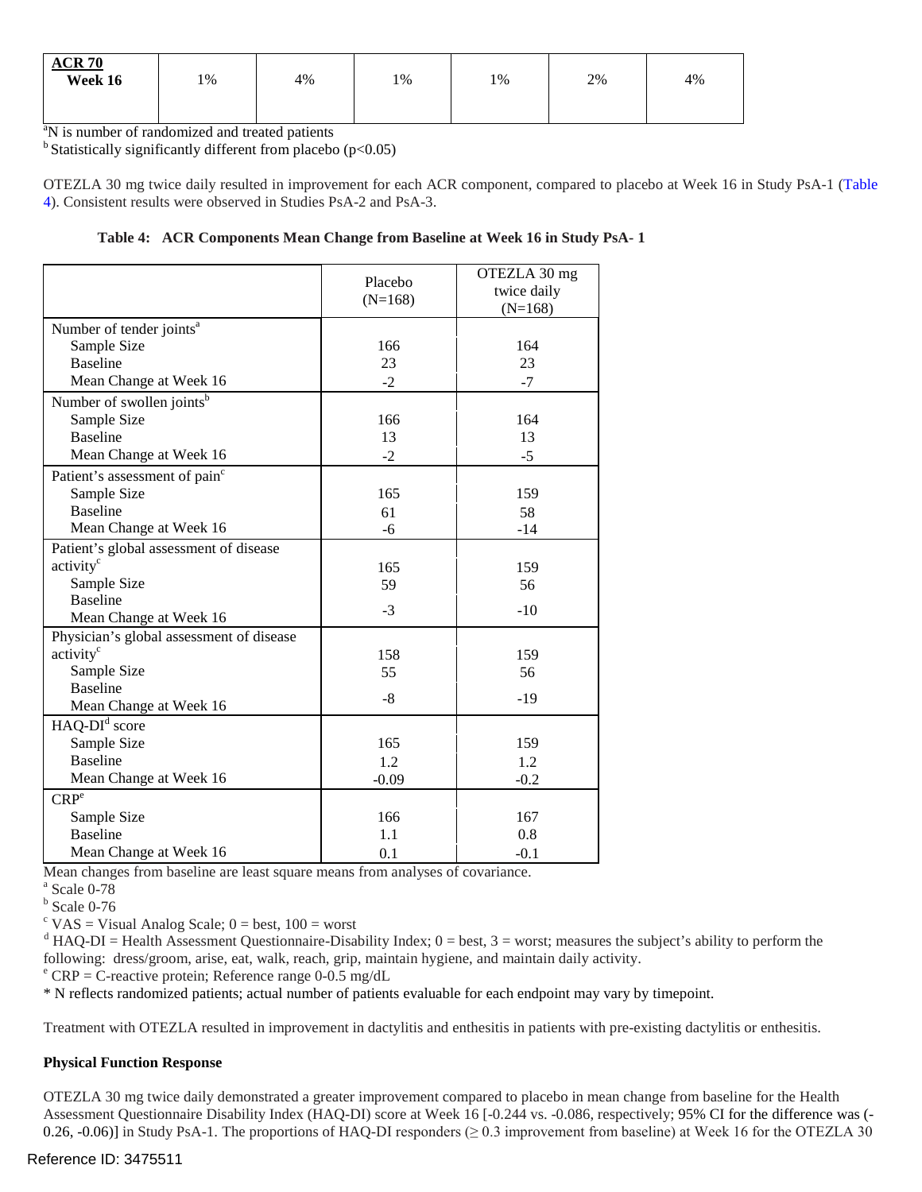| <b>ACR 70</b><br>Week 16 | 1% | 4% | 1% | 1% | 2% | 4% |
|--------------------------|----|----|----|----|----|----|
|                          |    |    |    |    |    |    |

<sup>a</sup>N is number of randomized and treated patients

 $<sup>b</sup>$  Statistically significantly different from placebo (p<0.05)</sup>

OTEZLA 30 mg twice daily resulted in improvement for each ACR component, compared to placebo at Week 16 in Study PsA-1 (Table 4). Consistent results were observed in Studies PsA-2 and PsA-3.

#### **Table 4: ACR Components Mean Change from Baseline at Week 16 in Study PsA- 1**

|                                           |           | OTEZLA 30 mg |
|-------------------------------------------|-----------|--------------|
|                                           | Placebo   | twice daily  |
|                                           | $(N=168)$ | $(N=168)$    |
| Number of tender joints <sup>a</sup>      |           |              |
| Sample Size                               | 166       | 164          |
| <b>Baseline</b>                           | 23        | 23           |
| Mean Change at Week 16                    | $-2$      | $-7$         |
| Number of swollen joints <sup>b</sup>     |           |              |
| Sample Size                               | 166       | 164          |
| <b>Baseline</b>                           | 13        | 13           |
| Mean Change at Week 16                    | $-2$      | $-5$         |
| Patient's assessment of pain <sup>c</sup> |           |              |
| Sample Size                               | 165       | 159          |
| <b>Baseline</b>                           | 61        | 58           |
| Mean Change at Week 16                    | $-6$      | $-14$        |
| Patient's global assessment of disease    |           |              |
| activity <sup>c</sup>                     | 165       | 159          |
| Sample Size                               | 59        | 56           |
| <b>Baseline</b>                           | $-3$      | $-10$        |
| Mean Change at Week 16                    |           |              |
| Physician's global assessment of disease  |           |              |
| activity <sup>c</sup>                     | 158       | 159          |
| Sample Size                               | 55        | 56           |
| <b>Baseline</b>                           | $-8$      | $-19$        |
| Mean Change at Week 16                    |           |              |
| $HAQ-DId score$                           |           |              |
| Sample Size                               | 165       | 159          |
| <b>Baseline</b>                           | 1.2       | 1.2          |
| Mean Change at Week 16                    | $-0.09$   | $-0.2$       |
| CRP <sup>e</sup>                          |           |              |
| Sample Size                               | 166       | 167          |
| <b>Baseline</b>                           | 1.1       | 0.8          |
| Mean Change at Week 16                    | 0.1       | $-0.1$       |

Mean changes from baseline are least square means from analyses of covariance.<br><sup>a</sup> Scale 0-78

 $^{\circ}$  Scale 0-78

 $<sup>b</sup>$  Scale 0-76</sup>

 $c$  VAS = Visual Analog Scale;  $0 = best$ ,  $100 = worst$ 

 $d$  HAQ-DI = Health Assessment Questionnaire-Disability Index;  $0 = \text{best}$ ,  $3 = \text{worst}$ ; measures the subject's ability to perform the following: dress/groom, arise, eat, walk, reach, grip, maintain hygiene, and maintain daily activity.<br>
<sup>e</sup> CRP = C-reactive protein; Reference range 0-0.5 mg/dL

\* N reflects randomized patients; actual number of patients evaluable for each endpoint may vary by timepoint.

Treatment with OTEZLA resulted in improvement in dactylitis and enthesitis in patients with pre-existing dactylitis or enthesitis.

## **Physical Function Response**

OTEZLA 30 mg twice daily demonstrated a greater improvement compared to placebo in mean change from baseline for the Health Assessment Questionnaire Disability Index (HAQ-DI) score at Week 16 [-0.244 vs. -0.086, respectively; 95% CI for the difference was ( 0.26, -0.06)] in Study PsA-1. The proportions of HAQ-DI responders ( $\geq$  0.3 improvement from baseline) at Week 16 for the OTEZLA 30

# Reference ID: 3475511